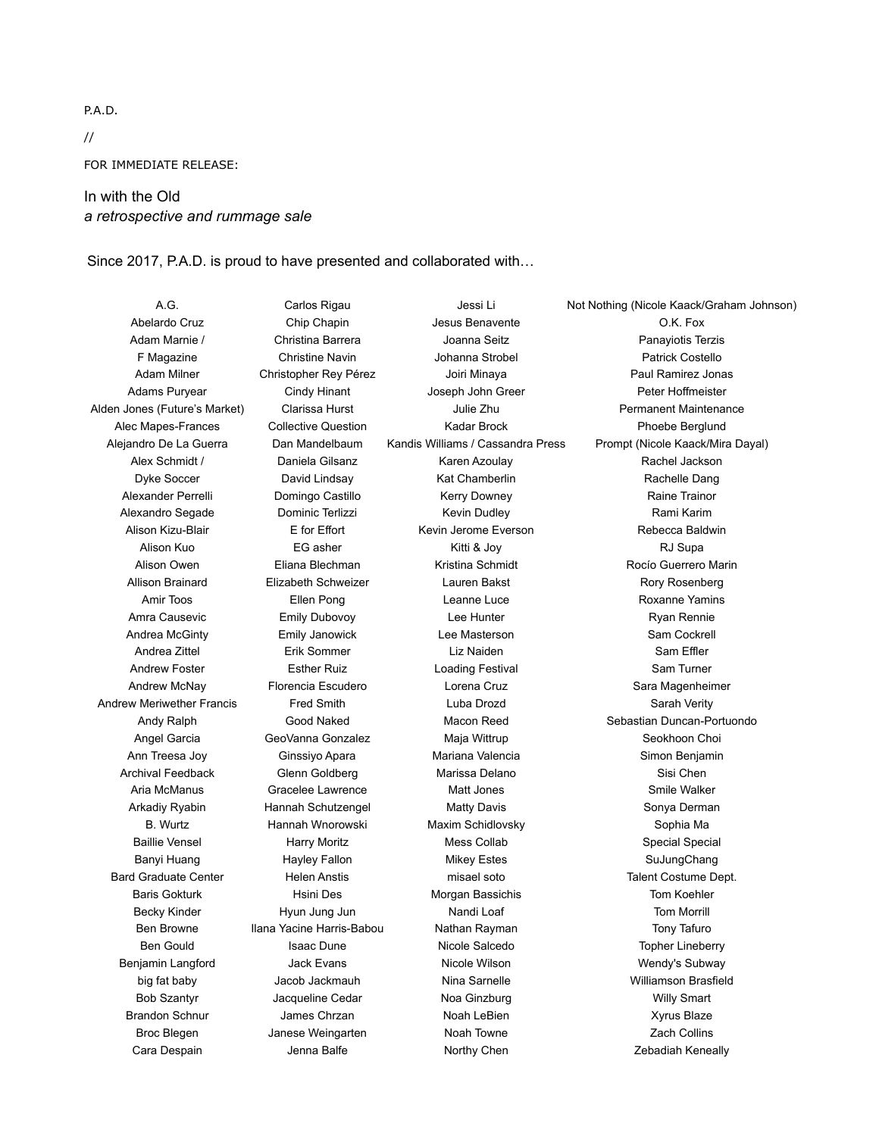P.A.D.

// FOR IMMEDIATE RELEASE:

## In with the Old *a retrospective and rummage sale*

Since 2017, P.A.D. is proud to have presented and collaborated with…

Alden Jones (Future's Market) Clarissa Hurst Julie Zhu Permanent Maintenance Alec Mapes-Frances Collective Question **Kadar Brock** Phoebe Berglund Phoebe Berglund Alexander Perrelli **Domingo Castillo** Kerry Downey **Raine Trainor** Raine Trainor Alexandro Segade **Dominic Terlizzi** Kevin Dudley **Kevin Dudley** Rami Karim Andrew Meriwether Francis Fred Smith **Example 20 Luba Drozd** Sarah Verity Archival Feedback **Glenn Goldberg** Marissa Delano **Marissa Delano** Sisi Chen Bard Graduate Center Helen Anstis misael soto Talent Costume Dept. Benjamin Langford **Mataubush Claude Access Claude Claude Vicole Wilson** Mendy's Subway

A.G. Carlos Rigau Jessi Li Not Nothing (Nicole Kaack/Graham Johnson) Abelardo Cruz **Chip Chapin** Jesus Benavente **CRU** O.K. Fox Adam Marnie / Christina Barrera Joanna Seitz Christina Panayiotis Terzis F Magazine **Christine Navin** Johanna Strobel **Patrick Costello** Patrick Costello Alex Schmidt / The Daniela Gilsanz The Karen Azoulay The Rachel Jackson Dyke Soccer **David Lindsay Kat Chamberlin** Rachelle Dang Alison Kuo EG asher Kitti & Joy RJ Supa Allison Brainard **Elizabeth Schweizer** Lauren Bakst **Rory Rosenberg** Rory Rosenberg Amir Toos **Ellen Pong** Leanne Luce **Communist Constant Pong** Leanne Luce **Roxanne Yamins** Amra Causevic **Emily Dubovoy Lee Hunter Consumersion** Ryan Rennie Andrea McGinty **Emily Janowick** Lee Masterson **Communist Construction** Sam Cockrell Andrea Zittel Erik Sommer Liz Naiden Sam Effler Andrew Foster **Esther Ruiz** Exther **Exting Festival** Loading Festival Sam Turner Angel Garcia **GeoVanna Gonzalez** Maja Wittrup **Seokhoon Choi** Ann Treesa Joy Ginssiyo Apara Mariana Valencia Simon Benjamin Aria McManus **Gracelee Lawrence** Matt Jones Matt Smile Walker Arkadiy Ryabin **Mannah Schutzengel** Matty Davis Sonya Derman B. Wurtz Hannah Wnorowski Maxim Schidlovsky Sophia Ma Baillie Vensel **Marry Moritz** Mess Collab Mess Collab Special Special Special Banyi Huang **Hayley Fallon** Mikey Estes **Mikey Estes** SuJungChang Baris Gokturk Hsini Des Morgan Bassichis Tom Koehler Becky Kinder **Hyun Jung Jun** Nandi Loaf **Nandi Loaf** Tom Morrill Ben Browne Ilana Yacine Harris-Babou Nathan Rayman Tony Tafuro Bob Szantyr **Martia Communist Cedar** Noa Ginzburg Willy Smart Willy Smart Brandon Schnur James Chrzan Noah LeBien Xyrus Blaze Broc Blegen **State Janese Weingarten** Noah Towne Noah Towne Zach Collins

Adam Milner Christopher Rey Pérez Joiri Minaya Paul Ramirez Jonas Adams Puryear **Cindy Hinant** Joseph John Greer **No. 1998** Peter Hoffmeister Alejandro De La Guerra Dan Mandelbaum Kandis Williams / Cassandra Press Prompt (Nicole Kaack/Mira Dayal) Alison Kizu-Blair **E** for Effort Kevin Jerome Everson Rebecca Baldwin Alison Owen Eliana Blechman Kristina Schmidt Rocío Guerrero Marin Andrew McNay Florencia Escudero Lorena Cruz Sara Magenheimer Andy Ralph Good Naked Macon Reed Sebastian Duncan-Portuondo Ben Gould **Isaac Dune Isaac Dune** Nicole Salcedo **Topher Lineberry** big fat baby Jacob Jackmauh Nina Sarnelle Williamson Brasfield Cara Despain **Marko State Cara Leona** Balfe **Northy Chen** Northy Chen **Cara Despained Northwally**